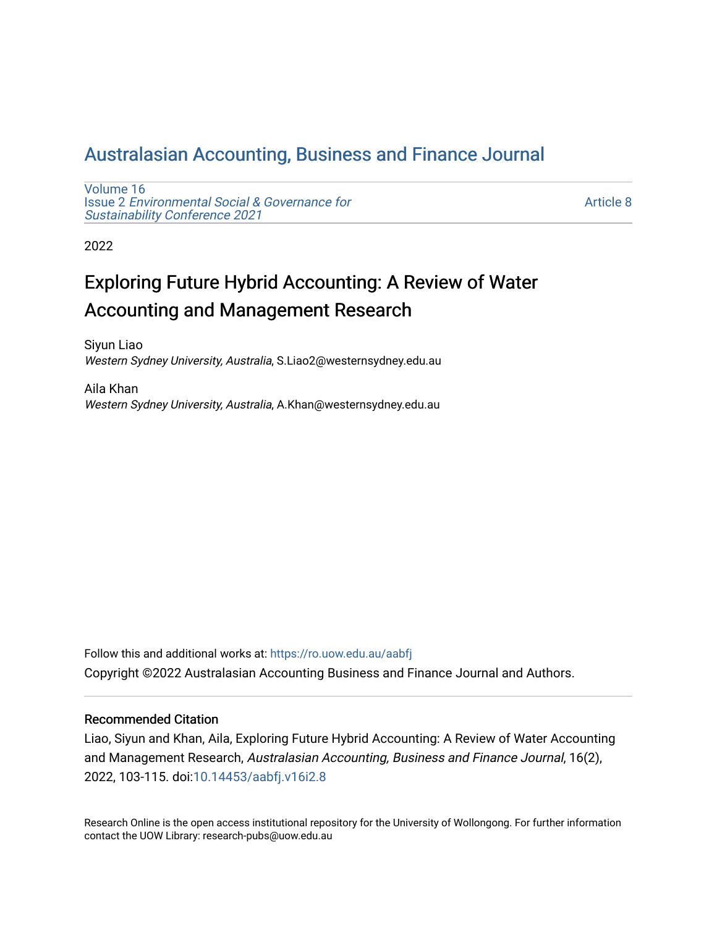## [Australasian Accounting, Business and Finance Journal](https://ro.uow.edu.au/aabfj)

[Volume 16](https://ro.uow.edu.au/aabfj/vol16) Issue 2 [Environmental Social & Governance for](https://ro.uow.edu.au/aabfj/vol16/iss2)  [Sustainability Conference 2021](https://ro.uow.edu.au/aabfj/vol16/iss2) 

[Article 8](https://ro.uow.edu.au/aabfj/vol16/iss2/8) 

2022

# Exploring Future Hybrid Accounting: A Review of Water Accounting and Management Research

Siyun Liao Western Sydney University, Australia, S.Liao2@westernsydney.edu.au

Aila Khan Western Sydney University, Australia, A.Khan@westernsydney.edu.au

Follow this and additional works at: [https://ro.uow.edu.au/aabfj](https://ro.uow.edu.au/aabfj?utm_source=ro.uow.edu.au%2Faabfj%2Fvol16%2Fiss2%2F8&utm_medium=PDF&utm_campaign=PDFCoverPages) Copyright ©2022 Australasian Accounting Business and Finance Journal and Authors.

#### Recommended Citation

Liao, Siyun and Khan, Aila, Exploring Future Hybrid Accounting: A Review of Water Accounting and Management Research, Australasian Accounting, Business and Finance Journal, 16(2), 2022, 103-115. doi[:10.14453/aabfj.v16i2.8](http://dx.doi.org/10.14453/aabfj.v16i2.8) 

Research Online is the open access institutional repository for the University of Wollongong. For further information contact the UOW Library: research-pubs@uow.edu.au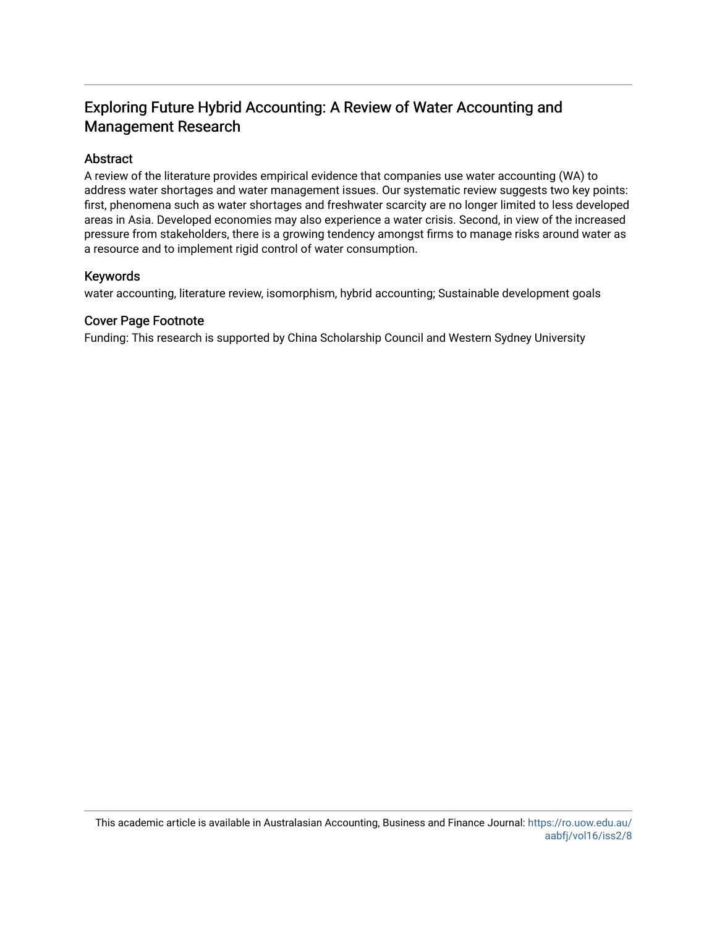## Exploring Future Hybrid Accounting: A Review of Water Accounting and Management Research

#### Abstract

A review of the literature provides empirical evidence that companies use water accounting (WA) to address water shortages and water management issues. Our systematic review suggests two key points: first, phenomena such as water shortages and freshwater scarcity are no longer limited to less developed areas in Asia. Developed economies may also experience a water crisis. Second, in view of the increased pressure from stakeholders, there is a growing tendency amongst firms to manage risks around water as a resource and to implement rigid control of water consumption.

#### Keywords

water accounting, literature review, isomorphism, hybrid accounting; Sustainable development goals

#### Cover Page Footnote

Funding: This research is supported by China Scholarship Council and Western Sydney University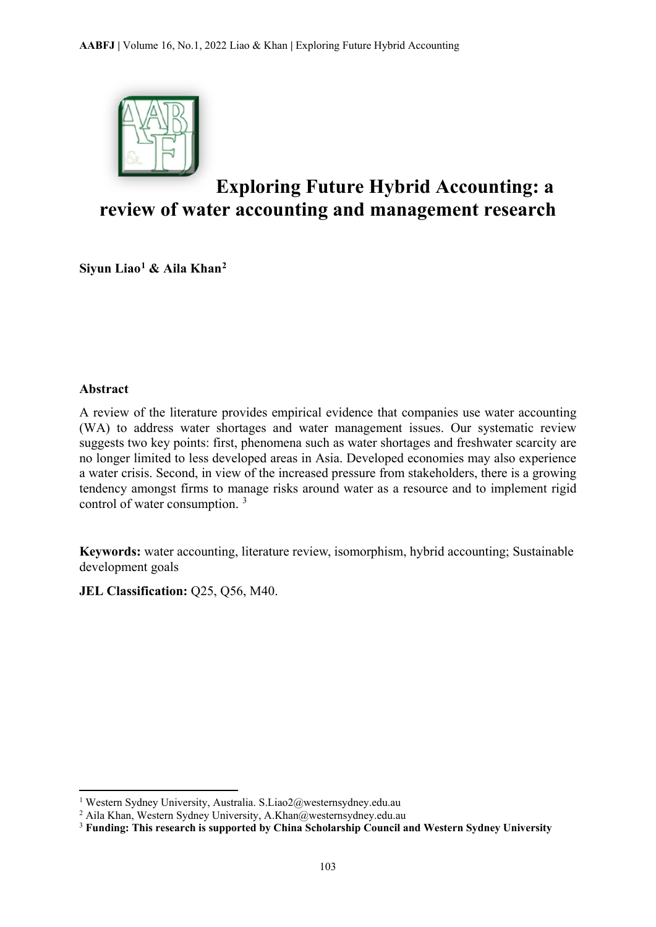

# **Exploring Future Hybrid Accounting: a review of water accounting and management research**

**Siyun Liao[1](#page-2-0) & Aila Khan[2](#page-2-1)** 

#### **Abstract**

 $\overline{a}$ 

A review of the literature provides empirical evidence that companies use water accounting (WA) to address water shortages and water management issues. Our systematic review suggests two key points: first, phenomena such as water shortages and freshwater scarcity are no longer limited to less developed areas in Asia. Developed economies may also experience a water crisis. Second, in view of the increased pressure from stakeholders, there is a growing tendency amongst firms to manage risks around water as a resource and to implement rigid control of water consumption. [3](#page-2-2)

**Keywords:** water accounting, literature review, isomorphism, hybrid accounting; Sustainable development goals

**JEL Classification: Q25, Q56, M40.** 

<span id="page-2-0"></span><sup>1</sup> Western Sydney University, Australia. S.Liao2@westernsydney.edu.au

<span id="page-2-1"></span><sup>2</sup> Aila Khan, Western Sydney University, A.Khan@westernsydney.edu.au

<span id="page-2-2"></span><sup>3</sup> **Funding: This research is supported by China Scholarship Council and Western Sydney University**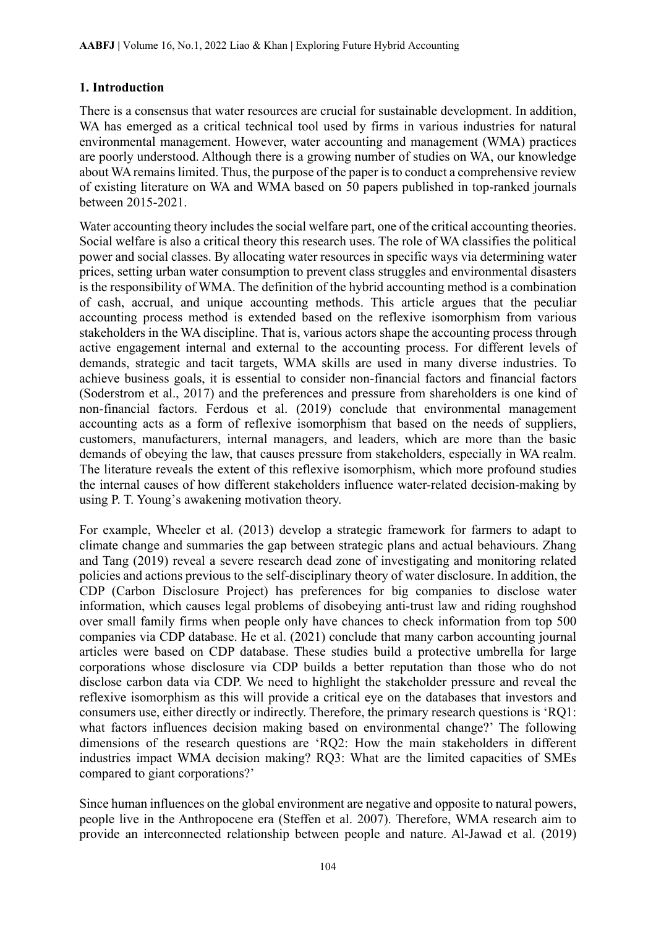### **1. Introduction**

There is a consensus that water resources are crucial for sustainable development. In addition, WA has emerged as a critical technical tool used by firms in various industries for natural environmental management. However, water accounting and management (WMA) practices are poorly understood. Although there is a growing number of studies on WA, our knowledge about WA remains limited. Thus, the purpose of the paper is to conduct a comprehensive review of existing literature on WA and WMA based on 50 papers published in top-ranked journals between 2015-2021.

Water accounting theory includes the social welfare part, one of the critical accounting theories. Social welfare is also a critical theory this research uses. The role of WA classifies the political power and social classes. By allocating water resources in specific ways via determining water prices, setting urban water consumption to prevent class struggles and environmental disasters is the responsibility of WMA. The definition of the hybrid accounting method is a combination of cash, accrual, and unique accounting methods. This article argues that the peculiar accounting process method is extended based on the reflexive isomorphism from various stakeholders in the WA discipline. That is, various actors shape the accounting process through active engagement internal and external to the accounting process. For different levels of demands, strategic and tacit targets, WMA skills are used in many diverse industries. To achieve business goals, it is essential to consider non-financial factors and financial factors (Soderstrom et al., 2017) and the preferences and pressure from shareholders is one kind of non-financial factors. Ferdous et al. (2019) conclude that environmental management accounting acts as a form of reflexive isomorphism that based on the needs of suppliers, customers, manufacturers, internal managers, and leaders, which are more than the basic demands of obeying the law, that causes pressure from stakeholders, especially in WA realm. The literature reveals the extent of this reflexive isomorphism, which more profound studies the internal causes of how different stakeholders influence water-related decision-making by using P. T. Young's awakening motivation theory.

For example, Wheeler et al. (2013) develop a strategic framework for farmers to adapt to climate change and summaries the gap between strategic plans and actual behaviours. Zhang and Tang (2019) reveal a severe research dead zone of investigating and monitoring related policies and actions previous to the self-disciplinary theory of water disclosure. In addition, the CDP (Carbon Disclosure Project) has preferences for big companies to disclose water information, which causes legal problems of disobeying anti-trust law and riding roughshod over small family firms when people only have chances to check information from top 500 companies via CDP database. He et al. (2021) conclude that many carbon accounting journal articles were based on CDP database. These studies build a protective umbrella for large corporations whose disclosure via CDP builds a better reputation than those who do not disclose carbon data via CDP. We need to highlight the stakeholder pressure and reveal the reflexive isomorphism as this will provide a critical eye on the databases that investors and consumers use, either directly or indirectly. Therefore, the primary research questions is 'RQ1: what factors influences decision making based on environmental change?' The following dimensions of the research questions are 'RQ2: How the main stakeholders in different industries impact WMA decision making? RQ3: What are the limited capacities of SMEs compared to giant corporations?'

Since human influences on the global environment are negative and opposite to natural powers, people live in the Anthropocene era (Steffen et al. 2007). Therefore, WMA research aim to provide an interconnected relationship between people and nature. Al-Jawad et al. (2019)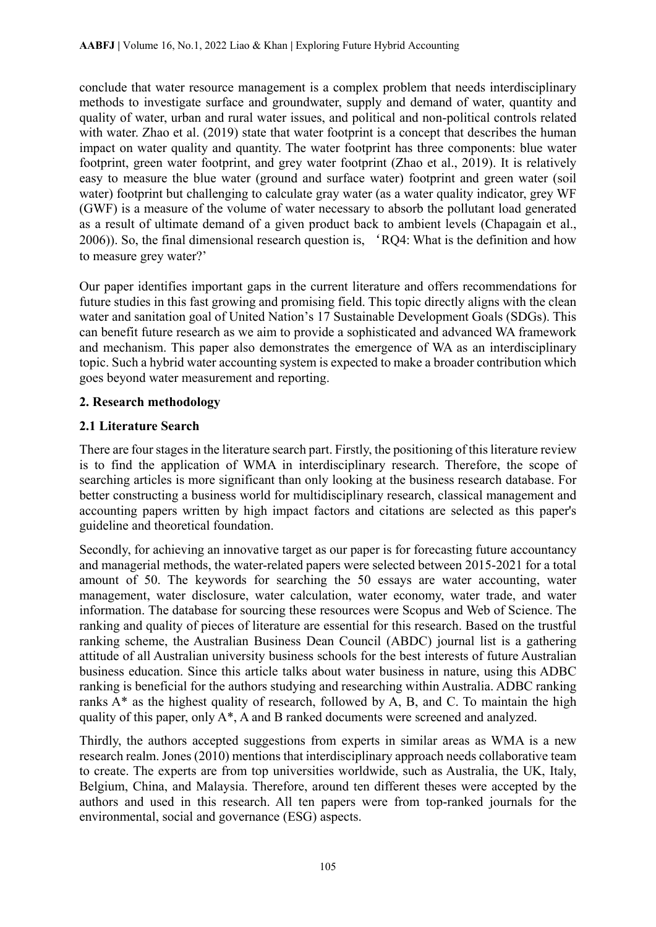conclude that water resource management is a complex problem that needs interdisciplinary methods to investigate surface and groundwater, supply and demand of water, quantity and quality of water, urban and rural water issues, and political and non-political controls related with water. Zhao et al. (2019) state that water footprint is a concept that describes the human impact on water quality and quantity. The water footprint has three components: blue water footprint, green water footprint, and grey water footprint (Zhao et al., 2019). It is relatively easy to measure the blue water (ground and surface water) footprint and green water (soil water) footprint but challenging to calculate gray water (as a water quality indicator, grey WF (GWF) is a measure of the volume of water necessary to absorb the pollutant load generated as a result of ultimate demand of a given product back to ambient levels (Chapagain et al., 2006)). So, the final dimensional research question is, 'RQ4: What is the definition and how to measure grey water?'

Our paper identifies important gaps in the current literature and offers recommendations for future studies in this fast growing and promising field. This topic directly aligns with the clean water and sanitation goal of United Nation's 17 Sustainable Development Goals (SDGs). This can benefit future research as we aim to provide a sophisticated and advanced WA framework and mechanism. This paper also demonstrates the emergence of WA as an interdisciplinary topic. Such a hybrid water accounting system is expected to make a broader contribution which goes beyond water measurement and reporting.

## **2. Research methodology**

## **2.1 Literature Search**

There are four stages in the literature search part. Firstly, the positioning of this literature review is to find the application of WMA in interdisciplinary research. Therefore, the scope of searching articles is more significant than only looking at the business research database. For better constructing a business world for multidisciplinary research, classical management and accounting papers written by high impact factors and citations are selected as this paper's guideline and theoretical foundation.

Secondly, for achieving an innovative target as our paper is for forecasting future accountancy and managerial methods, the water-related papers were selected between 2015-2021 for a total amount of 50. The keywords for searching the 50 essays are water accounting, water management, water disclosure, water calculation, water economy, water trade, and water information. The database for sourcing these resources were Scopus and Web of Science. The ranking and quality of pieces of literature are essential for this research. Based on the trustful ranking scheme, the Australian Business Dean Council (ABDC) journal list is a gathering attitude of all Australian university business schools for the best interests of future Australian business education. Since this article talks about water business in nature, using this ADBC ranking is beneficial for the authors studying and researching within Australia. ADBC ranking ranks A\* as the highest quality of research, followed by A, B, and C. To maintain the high quality of this paper, only A\*, A and B ranked documents were screened and analyzed.

Thirdly, the authors accepted suggestions from experts in similar areas as WMA is a new research realm. Jones (2010) mentions that interdisciplinary approach needs collaborative team to create. The experts are from top universities worldwide, such as Australia, the UK, Italy, Belgium, China, and Malaysia. Therefore, around ten different theses were accepted by the authors and used in this research. All ten papers were from top-ranked journals for the environmental, social and governance (ESG) aspects.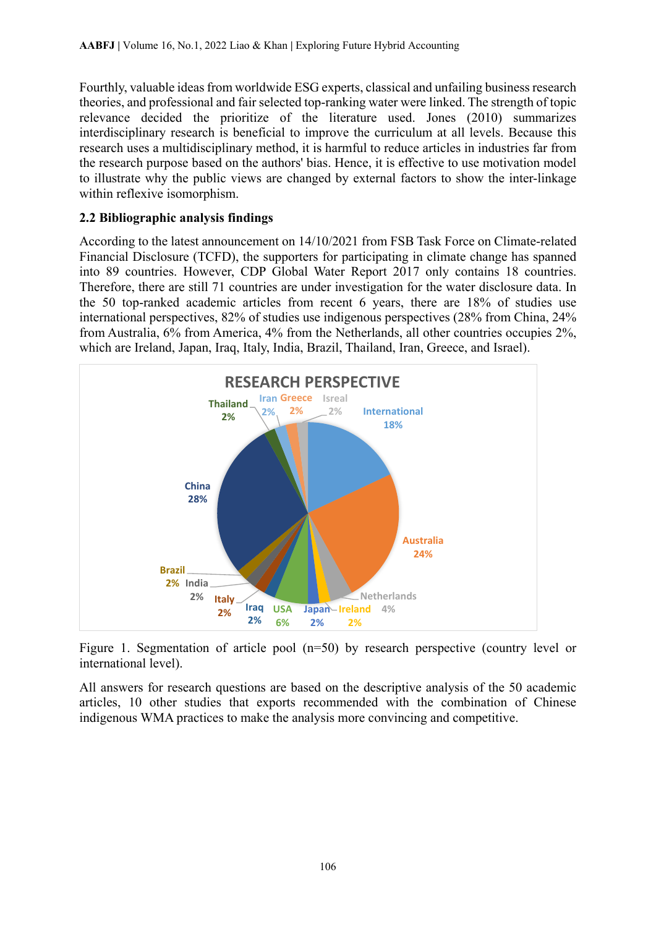Fourthly, valuable ideas from worldwide ESG experts, classical and unfailing business research theories, and professional and fair selected top-ranking water were linked. The strength of topic relevance decided the prioritize of the literature used. Jones (2010) summarizes interdisciplinary research is beneficial to improve the curriculum at all levels. Because this research uses a multidisciplinary method, it is harmful to reduce articles in industries far from the research purpose based on the authors' bias. Hence, it is effective to use motivation model to illustrate why the public views are changed by external factors to show the inter-linkage within reflexive isomorphism.

## **2.2 Bibliographic analysis findings**

According to the latest announcement on 14/10/2021 from FSB Task Force on Climate-related Financial Disclosure (TCFD), the supporters for participating in climate change has spanned into 89 countries. However, CDP Global Water Report 2017 only contains 18 countries. Therefore, there are still 71 countries are under investigation for the water disclosure data. In the 50 top-ranked academic articles from recent 6 years, there are 18% of studies use international perspectives, 82% of studies use indigenous perspectives (28% from China, 24% from Australia, 6% from America, 4% from the Netherlands, all other countries occupies 2%, which are Ireland, Japan, Iraq, Italy, India, Brazil, Thailand, Iran, Greece, and Israel).



Figure 1. Segmentation of article pool (n=50) by research perspective (country level or international level).

All answers for research questions are based on the descriptive analysis of the 50 academic articles, 10 other studies that exports recommended with the combination of Chinese indigenous WMA practices to make the analysis more convincing and competitive.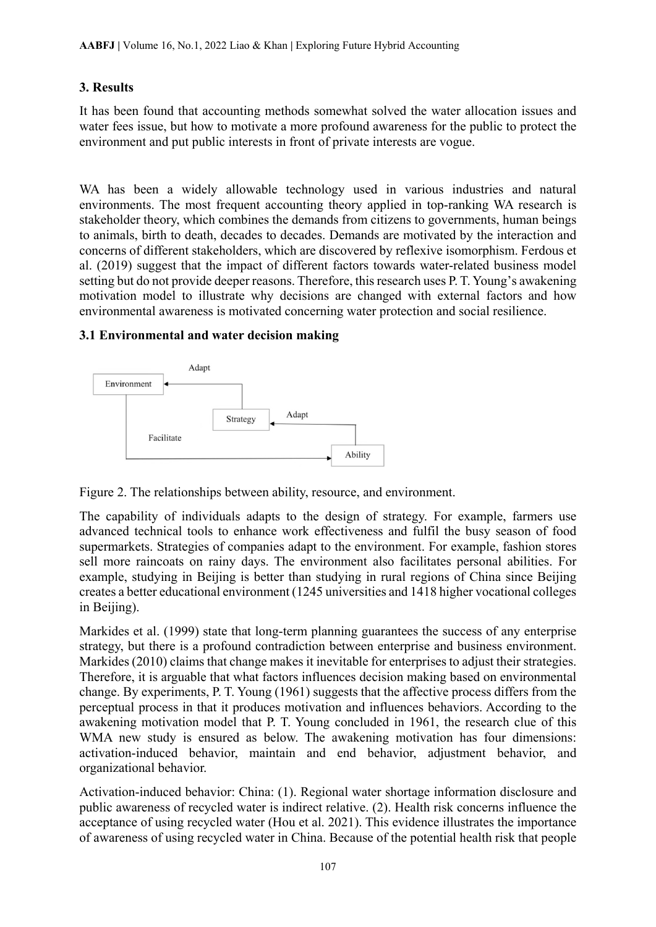### **3. Results**

It has been found that accounting methods somewhat solved the water allocation issues and water fees issue, but how to motivate a more profound awareness for the public to protect the environment and put public interests in front of private interests are vogue.

WA has been a widely allowable technology used in various industries and natural environments. The most frequent accounting theory applied in top-ranking WA research is stakeholder theory, which combines the demands from citizens to governments, human beings to animals, birth to death, decades to decades. Demands are motivated by the interaction and concerns of different stakeholders, which are discovered by reflexive isomorphism. Ferdous et al. (2019) suggest that the impact of different factors towards water-related business model setting but do not provide deeper reasons. Therefore, this research uses P. T. Young's awakening motivation model to illustrate why decisions are changed with external factors and how environmental awareness is motivated concerning water protection and social resilience.

### **3.1 Environmental and water decision making**



Figure 2. The relationships between ability, resource, and environment.

The capability of individuals adapts to the design of strategy. For example, farmers use advanced technical tools to enhance work effectiveness and fulfil the busy season of food supermarkets. Strategies of companies adapt to the environment. For example, fashion stores sell more raincoats on rainy days. The environment also facilitates personal abilities. For example, studying in Beijing is better than studying in rural regions of China since Beijing creates a better educational environment (1245 universities and 1418 higher vocational colleges in Beijing).

Markides et al. (1999) state that long-term planning guarantees the success of any enterprise strategy, but there is a profound contradiction between enterprise and business environment. Markides (2010) claims that change makes it inevitable for enterprises to adjust their strategies. Therefore, it is arguable that what factors influences decision making based on environmental change. By experiments, P. T. Young (1961) suggests that the affective process differs from the perceptual process in that it produces motivation and influences behaviors. According to the awakening motivation model that P. T. Young concluded in 1961, the research clue of this WMA new study is ensured as below. The awakening motivation has four dimensions: activation-induced behavior, maintain and end behavior, adjustment behavior, and organizational behavior.

Activation-induced behavior: China: (1). Regional water shortage information disclosure and public awareness of recycled water is indirect relative. (2). Health risk concerns influence the acceptance of using recycled water (Hou et al. 2021). This evidence illustrates the importance of awareness of using recycled water in China. Because of the potential health risk that people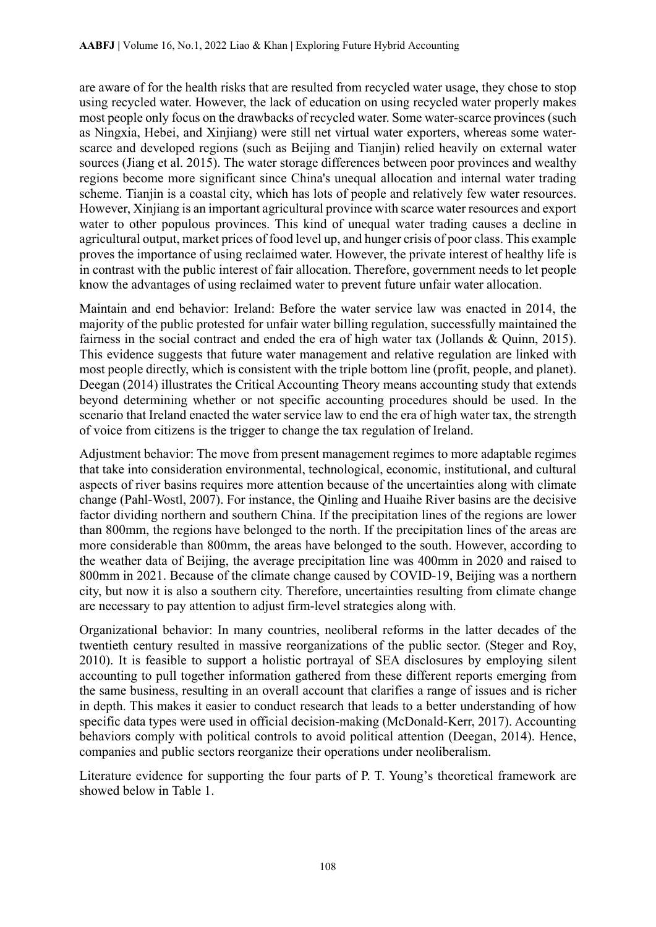are aware of for the health risks that are resulted from recycled water usage, they chose to stop using recycled water. However, the lack of education on using recycled water properly makes most people only focus on the drawbacks of recycled water. Some water-scarce provinces (such as Ningxia, Hebei, and Xinjiang) were still net virtual water exporters, whereas some waterscarce and developed regions (such as Beijing and Tianjin) relied heavily on external water sources (Jiang et al. 2015). The water storage differences between poor provinces and wealthy regions become more significant since China's unequal allocation and internal water trading scheme. Tianjin is a coastal city, which has lots of people and relatively few water resources. However, Xinjiang is an important agricultural province with scarce water resources and export water to other populous provinces. This kind of unequal water trading causes a decline in agricultural output, market prices of food level up, and hunger crisis of poor class. This example proves the importance of using reclaimed water. However, the private interest of healthy life is in contrast with the public interest of fair allocation. Therefore, government needs to let people know the advantages of using reclaimed water to prevent future unfair water allocation.

Maintain and end behavior: Ireland: Before the water service law was enacted in 2014, the majority of the public protested for unfair water billing regulation, successfully maintained the fairness in the social contract and ended the era of high water tax (Jollands & Quinn, 2015). This evidence suggests that future water management and relative regulation are linked with most people directly, which is consistent with the triple bottom line (profit, people, and planet). Deegan (2014) illustrates the Critical Accounting Theory means accounting study that extends beyond determining whether or not specific accounting procedures should be used. In the scenario that Ireland enacted the water service law to end the era of high water tax, the strength of voice from citizens is the trigger to change the tax regulation of Ireland.

Adjustment behavior: The move from present management regimes to more adaptable regimes that take into consideration environmental, technological, economic, institutional, and cultural aspects of river basins requires more attention because of the uncertainties along with climate change (Pahl-Wostl, 2007). For instance, the Qinling and Huaihe River basins are the decisive factor dividing northern and southern China. If the precipitation lines of the regions are lower than 800mm, the regions have belonged to the north. If the precipitation lines of the areas are more considerable than 800mm, the areas have belonged to the south. However, according to the weather data of Beijing, the average precipitation line was 400mm in 2020 and raised to 800mm in 2021. Because of the climate change caused by COVID-19, Beijing was a northern city, but now it is also a southern city. Therefore, uncertainties resulting from climate change are necessary to pay attention to adjust firm-level strategies along with.

Organizational behavior: In many countries, neoliberal reforms in the latter decades of the twentieth century resulted in massive reorganizations of the public sector. (Steger and Roy, 2010). It is feasible to support a holistic portrayal of SEA disclosures by employing silent accounting to pull together information gathered from these different reports emerging from the same business, resulting in an overall account that clarifies a range of issues and is richer in depth. This makes it easier to conduct research that leads to a better understanding of how specific data types were used in official decision-making (McDonald-Kerr, 2017). Accounting behaviors comply with political controls to avoid political attention (Deegan, 2014). Hence, companies and public sectors reorganize their operations under neoliberalism.

Literature evidence for supporting the four parts of P. T. Young's theoretical framework are showed below in Table 1.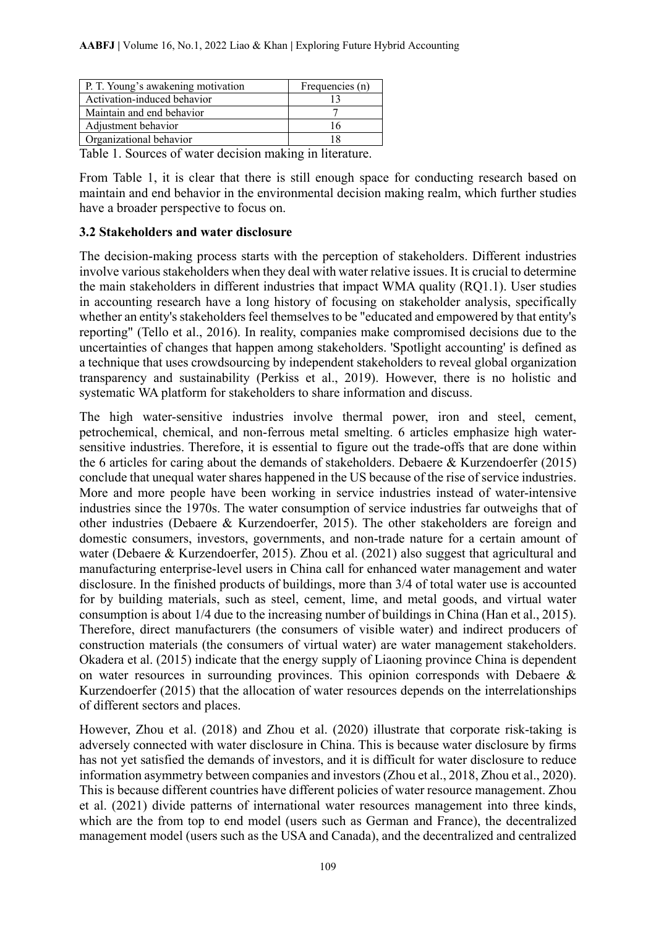| P. T. Young's awakening motivation | Frequencies (n) |
|------------------------------------|-----------------|
| Activation-induced behavior        |                 |
| Maintain and end behavior          |                 |
| Adjustment behavior                |                 |
| Organizational behavior            |                 |

Table 1. Sources of water decision making in literature.

From Table 1, it is clear that there is still enough space for conducting research based on maintain and end behavior in the environmental decision making realm, which further studies have a broader perspective to focus on.

#### **3.2 Stakeholders and water disclosure**

The decision-making process starts with the perception of stakeholders. Different industries involve various stakeholders when they deal with water relative issues. It is crucial to determine the main stakeholders in different industries that impact WMA quality (RQ1.1). User studies in accounting research have a long history of focusing on stakeholder analysis, specifically whether an entity's stakeholders feel themselves to be "educated and empowered by that entity's reporting" (Tello et al., 2016). In reality, companies make compromised decisions due to the uncertainties of changes that happen among stakeholders. 'Spotlight accounting' is defined as a technique that uses crowdsourcing by independent stakeholders to reveal global organization transparency and sustainability (Perkiss et al., 2019). However, there is no holistic and systematic WA platform for stakeholders to share information and discuss.

The high water-sensitive industries involve thermal power, iron and steel, cement, petrochemical, chemical, and non-ferrous metal smelting. 6 articles emphasize high watersensitive industries. Therefore, it is essential to figure out the trade-offs that are done within the 6 articles for caring about the demands of stakeholders. Debaere & Kurzendoerfer (2015) conclude that unequal water shares happened in the US because of the rise of service industries. More and more people have been working in service industries instead of water-intensive industries since the 1970s. The water consumption of service industries far outweighs that of other industries (Debaere & Kurzendoerfer, 2015). The other stakeholders are foreign and domestic consumers, investors, governments, and non-trade nature for a certain amount of water (Debaere & Kurzendoerfer, 2015). Zhou et al. (2021) also suggest that agricultural and manufacturing enterprise-level users in China call for enhanced water management and water disclosure. In the finished products of buildings, more than 3/4 of total water use is accounted for by building materials, such as steel, cement, lime, and metal goods, and virtual water consumption is about 1/4 due to the increasing number of buildings in China (Han et al., 2015). Therefore, direct manufacturers (the consumers of visible water) and indirect producers of construction materials (the consumers of virtual water) are water management stakeholders. Okadera et al. (2015) indicate that the energy supply of Liaoning province China is dependent on water resources in surrounding provinces. This opinion corresponds with Debaere & Kurzendoerfer (2015) that the allocation of water resources depends on the interrelationships of different sectors and places.

However, Zhou et al. (2018) and Zhou et al. (2020) illustrate that corporate risk-taking is adversely connected with water disclosure in China. This is because water disclosure by firms has not yet satisfied the demands of investors, and it is difficult for water disclosure to reduce information asymmetry between companies and investors (Zhou et al., 2018, Zhou et al., 2020). This is because different countries have different policies of water resource management. Zhou et al. (2021) divide patterns of international water resources management into three kinds, which are the from top to end model (users such as German and France), the decentralized management model (users such as the USA and Canada), and the decentralized and centralized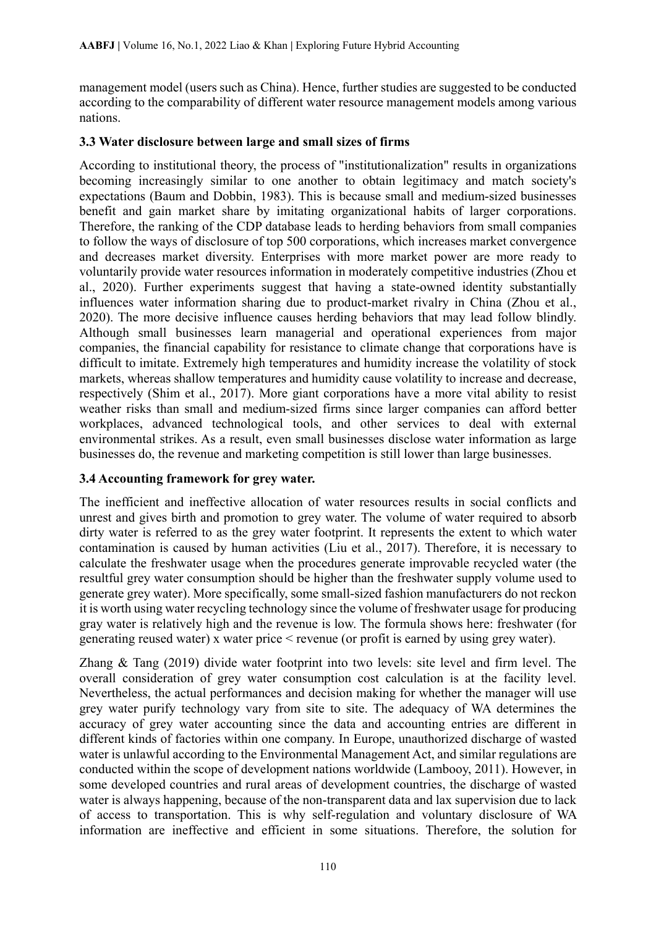management model (users such as China). Hence, further studies are suggested to be conducted according to the comparability of different water resource management models among various nations.

#### **3.3 Water disclosure between large and small sizes of firms**

According to institutional theory, the process of "institutionalization" results in organizations becoming increasingly similar to one another to obtain legitimacy and match society's expectations (Baum and Dobbin, 1983). This is because small and medium-sized businesses benefit and gain market share by imitating organizational habits of larger corporations. Therefore, the ranking of the CDP database leads to herding behaviors from small companies to follow the ways of disclosure of top 500 corporations, which increases market convergence and decreases market diversity. Enterprises with more market power are more ready to voluntarily provide water resources information in moderately competitive industries (Zhou et al., 2020). Further experiments suggest that having a state-owned identity substantially influences water information sharing due to product-market rivalry in China (Zhou et al., 2020). The more decisive influence causes herding behaviors that may lead follow blindly. Although small businesses learn managerial and operational experiences from major companies, the financial capability for resistance to climate change that corporations have is difficult to imitate. Extremely high temperatures and humidity increase the volatility of stock markets, whereas shallow temperatures and humidity cause volatility to increase and decrease, respectively (Shim et al., 2017). More giant corporations have a more vital ability to resist weather risks than small and medium-sized firms since larger companies can afford better workplaces, advanced technological tools, and other services to deal with external environmental strikes. As a result, even small businesses disclose water information as large businesses do, the revenue and marketing competition is still lower than large businesses.

### **3.4 Accounting framework for grey water.**

The inefficient and ineffective allocation of water resources results in social conflicts and unrest and gives birth and promotion to grey water. The volume of water required to absorb dirty water is referred to as the grey water footprint. It represents the extent to which water contamination is caused by human activities (Liu et al., 2017). Therefore, it is necessary to calculate the freshwater usage when the procedures generate improvable recycled water (the resultful grey water consumption should be higher than the freshwater supply volume used to generate grey water). More specifically, some small-sized fashion manufacturers do not reckon it is worth using water recycling technology since the volume of freshwater usage for producing gray water is relatively high and the revenue is low. The formula shows here: freshwater (for generating reused water) x water price < revenue (or profit is earned by using grey water).

Zhang & Tang (2019) divide water footprint into two levels: site level and firm level. The overall consideration of grey water consumption cost calculation is at the facility level. Nevertheless, the actual performances and decision making for whether the manager will use grey water purify technology vary from site to site. The adequacy of WA determines the accuracy of grey water accounting since the data and accounting entries are different in different kinds of factories within one company. In Europe, unauthorized discharge of wasted water is unlawful according to the Environmental Management Act, and similar regulations are conducted within the scope of development nations worldwide (Lambooy, 2011). However, in some developed countries and rural areas of development countries, the discharge of wasted water is always happening, because of the non-transparent data and lax supervision due to lack of access to transportation. This is why self-regulation and voluntary disclosure of WA information are ineffective and efficient in some situations. Therefore, the solution for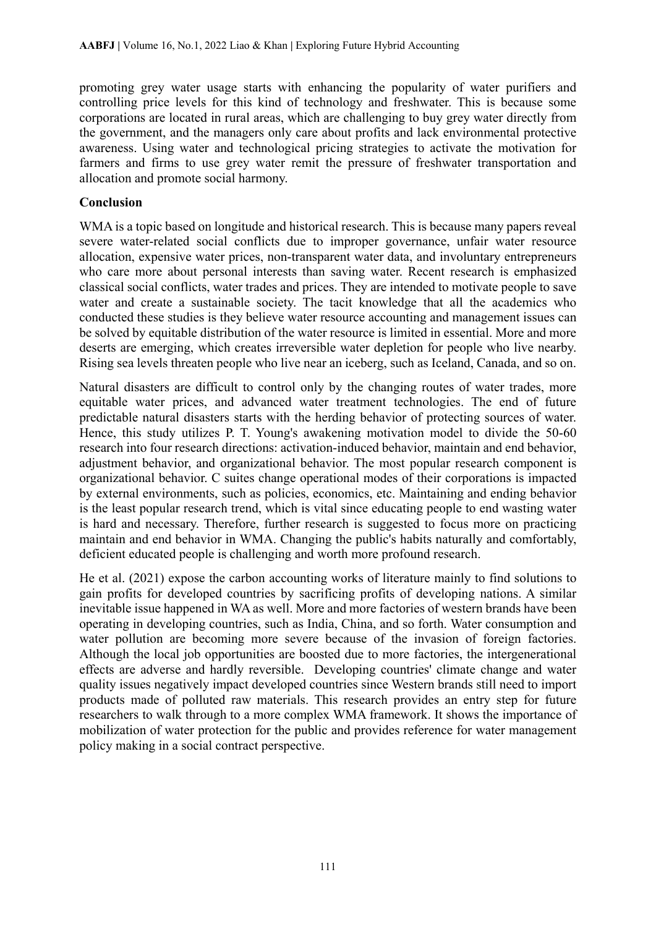promoting grey water usage starts with enhancing the popularity of water purifiers and controlling price levels for this kind of technology and freshwater. This is because some corporations are located in rural areas, which are challenging to buy grey water directly from the government, and the managers only care about profits and lack environmental protective awareness. Using water and technological pricing strategies to activate the motivation for farmers and firms to use grey water remit the pressure of freshwater transportation and allocation and promote social harmony.

#### **Conclusion**

WMA is a topic based on longitude and historical research. This is because many papers reveal severe water-related social conflicts due to improper governance, unfair water resource allocation, expensive water prices, non-transparent water data, and involuntary entrepreneurs who care more about personal interests than saving water. Recent research is emphasized classical social conflicts, water trades and prices. They are intended to motivate people to save water and create a sustainable society. The tacit knowledge that all the academics who conducted these studies is they believe water resource accounting and management issues can be solved by equitable distribution of the water resource is limited in essential. More and more deserts are emerging, which creates irreversible water depletion for people who live nearby. Rising sea levels threaten people who live near an iceberg, such as Iceland, Canada, and so on.

Natural disasters are difficult to control only by the changing routes of water trades, more equitable water prices, and advanced water treatment technologies. The end of future predictable natural disasters starts with the herding behavior of protecting sources of water. Hence, this study utilizes P. T. Young's awakening motivation model to divide the 50-60 research into four research directions: activation-induced behavior, maintain and end behavior, adjustment behavior, and organizational behavior. The most popular research component is organizational behavior. C suites change operational modes of their corporations is impacted by external environments, such as policies, economics, etc. Maintaining and ending behavior is the least popular research trend, which is vital since educating people to end wasting water is hard and necessary. Therefore, further research is suggested to focus more on practicing maintain and end behavior in WMA. Changing the public's habits naturally and comfortably, deficient educated people is challenging and worth more profound research.

He et al. (2021) expose the carbon accounting works of literature mainly to find solutions to gain profits for developed countries by sacrificing profits of developing nations. A similar inevitable issue happened in WA as well. More and more factories of western brands have been operating in developing countries, such as India, China, and so forth. Water consumption and water pollution are becoming more severe because of the invasion of foreign factories. Although the local job opportunities are boosted due to more factories, the intergenerational effects are adverse and hardly reversible. Developing countries' climate change and water quality issues negatively impact developed countries since Western brands still need to import products made of polluted raw materials. This research provides an entry step for future researchers to walk through to a more complex WMA framework. It shows the importance of mobilization of water protection for the public and provides reference for water management policy making in a social contract perspective.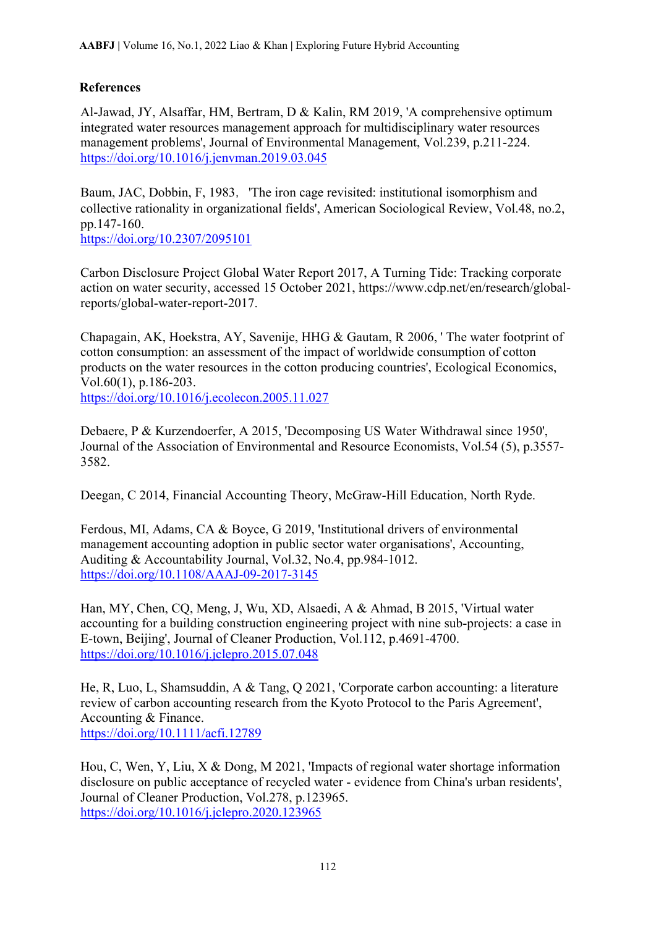## **References**

Al-Jawad, JY, Alsaffar, HM, Bertram, D & Kalin, RM 2019, 'A comprehensive optimum integrated water resources management approach for multidisciplinary water resources management problems', Journal of Environmental Management, Vol.239, p.211-224. <https://doi.org/10.1016/j.jenvman.2019.03.045>

Baum, JAC, Dobbin, F, 1983, 'The iron cage revisited: institutional isomorphism and collective rationality in organizational fields', American Sociological Review, Vol.48, no.2, pp.147-160.

<https://doi.org/10.2307/2095101>

Carbon Disclosure Project Global Water Report 2017, A Turning Tide: Tracking corporate action on water security, accessed 15 October 2021, https://www.cdp.net/en/research/globalreports/global-water-report-2017.

Chapagain, AK, Hoekstra, AY, Savenije, HHG & Gautam, R 2006, ' The water footprint of cotton consumption: an assessment of the impact of worldwide consumption of cotton products on the water resources in the cotton producing countries', Ecological Economics, Vol.60(1), p.186-203.

<https://doi.org/10.1016/j.ecolecon.2005.11.027>

Debaere, P & Kurzendoerfer, A 2015, 'Decomposing US Water Withdrawal since 1950', Journal of the Association of Environmental and Resource Economists, Vol.54 (5), p.3557- 3582.

Deegan, C 2014, Financial Accounting Theory, McGraw-Hill Education, North Ryde.

Ferdous, MI, Adams, CA & Boyce, G 2019, 'Institutional drivers of environmental management accounting adoption in public sector water organisations', Accounting, Auditing & Accountability Journal, Vol.32, No.4, pp.984-1012. <https://doi.org/10.1108/AAAJ-09-2017-3145>

Han, MY, Chen, CQ, Meng, J, Wu, XD, Alsaedi, A & Ahmad, B 2015, 'Virtual water accounting for a building construction engineering project with nine sub-projects: a case in E-town, Beijing', Journal of Cleaner Production, Vol.112, p.4691-4700. <https://doi.org/10.1016/j.jclepro.2015.07.048>

He, R, Luo, L, Shamsuddin, A & Tang, Q 2021, 'Corporate carbon accounting: a literature review of carbon accounting research from the Kyoto Protocol to the Paris Agreement', Accounting & Finance. <https://doi.org/10.1111/acfi.12789>

Hou, C, Wen, Y, Liu, X & Dong, M 2021, 'Impacts of regional water shortage information disclosure on public acceptance of recycled water - evidence from China's urban residents', Journal of Cleaner Production, Vol.278, p.123965. <https://doi.org/10.1016/j.jclepro.2020.123965>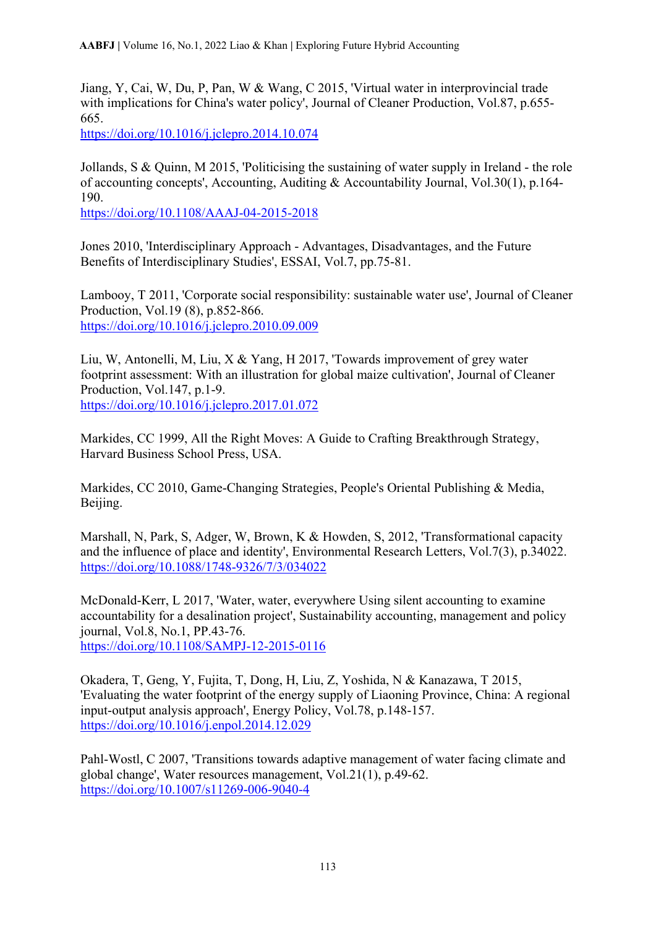Jiang, Y, Cai, W, Du, P, Pan, W & Wang, C 2015, 'Virtual water in interprovincial trade with implications for China's water policy', Journal of Cleaner Production, Vol.87, p.655-665.

<https://doi.org/10.1016/j.jclepro.2014.10.074>

Jollands, S & Quinn, M 2015, 'Politicising the sustaining of water supply in Ireland - the role of accounting concepts', Accounting, Auditing & Accountability Journal, Vol.30(1), p.164- 190.

<https://doi.org/10.1108/AAAJ-04-2015-2018>

Jones 2010, 'Interdisciplinary Approach - Advantages, Disadvantages, and the Future Benefits of Interdisciplinary Studies', ESSAI, Vol.7, pp.75-81.

Lambooy, T 2011, 'Corporate social responsibility: sustainable water use', Journal of Cleaner Production, Vol.19 (8), p.852-866. <https://doi.org/10.1016/j.jclepro.2010.09.009>

Liu, W, Antonelli, M, Liu, X & Yang, H 2017, 'Towards improvement of grey water footprint assessment: With an illustration for global maize cultivation', Journal of Cleaner Production, Vol.147, p.1-9. <https://doi.org/10.1016/j.jclepro.2017.01.072>

Markides, CC 1999, All the Right Moves: A Guide to Crafting Breakthrough Strategy, Harvard Business School Press, USA.

Markides, CC 2010, Game-Changing Strategies, People's Oriental Publishing & Media, Beijing.

Marshall, N, Park, S, Adger, W, Brown, K & Howden, S, 2012, 'Transformational capacity and the influence of place and identity', Environmental Research Letters, Vol.7(3), p.34022. <https://doi.org/10.1088/1748-9326/7/3/034022>

McDonald-Kerr, L 2017, 'Water, water, everywhere Using silent accounting to examine accountability for a desalination project', Sustainability accounting, management and policy journal, Vol.8, No.1, PP.43-76. <https://doi.org/10.1108/SAMPJ-12-2015-0116>

Okadera, T, Geng, Y, Fujita, T, Dong, H, Liu, Z, Yoshida, N & Kanazawa, T 2015, 'Evaluating the water footprint of the energy supply of Liaoning Province, China: A regional input-output analysis approach', Energy Policy, Vol.78, p.148-157. <https://doi.org/10.1016/j.enpol.2014.12.029>

Pahl-Wostl, C 2007, 'Transitions towards adaptive management of water facing climate and global change', Water resources management, Vol.21(1), p.49-62. <https://doi.org/10.1007/s11269-006-9040-4>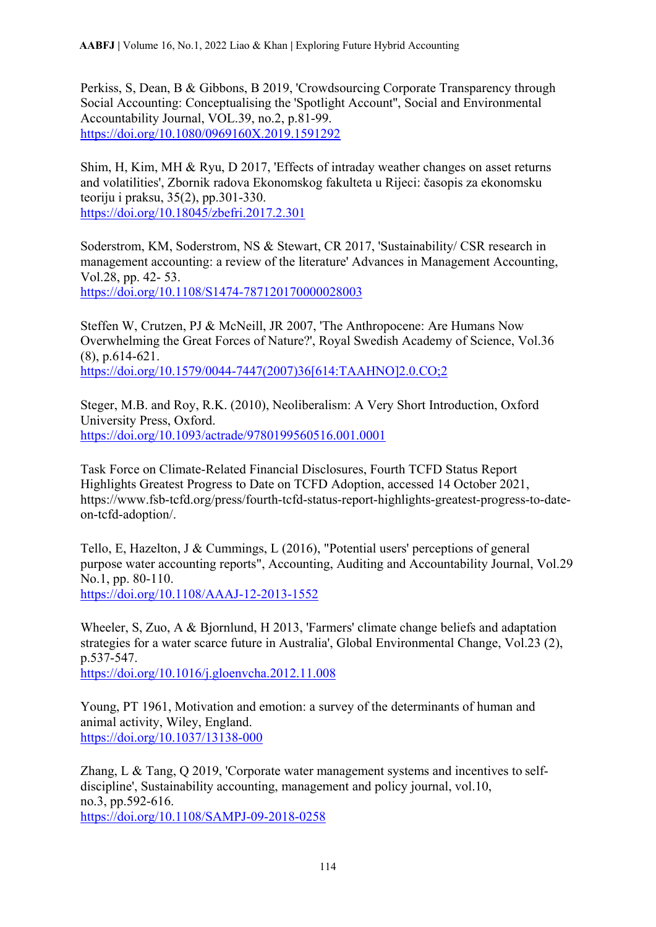Perkiss, S, Dean, B & Gibbons, B 2019, 'Crowdsourcing Corporate Transparency through Social Accounting: Conceptualising the 'Spotlight Account'', Social and Environmental Accountability Journal, VOL.39, no.2, p.81-99. <https://doi.org/10.1080/0969160X.2019.1591292>

Shim, H, Kim, MH & Ryu, D 2017, 'Effects of intraday weather changes on asset returns and volatilities', Zbornik radova Ekonomskog fakulteta u Rijeci: časopis za ekonomsku teoriju i praksu, 35(2), pp.301-330. <https://doi.org/10.18045/zbefri.2017.2.301>

Soderstrom, KM, Soderstrom, NS & Stewart, CR 2017, 'Sustainability/ CSR research in management accounting: a review of the literature' Advances in Management Accounting, Vol.28, pp. 42- 53. <https://doi.org/10.1108/S1474-787120170000028003>

Steffen W, Crutzen, PJ & McNeill, JR 2007, 'The Anthropocene: Are Humans Now Overwhelming the Great Forces of Nature?', Royal Swedish Academy of Science, Vol.36 (8), p.614-621. [https://doi.org/10.1579/0044-7447\(2007\)36\[614:TAAHNO\]2.0.CO;2](https://doi.org/10.1579/0044-7447(2007)36%5b614:TAAHNO%5d2.0.CO;2)

Steger, M.B. and Roy, R.K. (2010), Neoliberalism: A Very Short Introduction, Oxford University Press, Oxford. <https://doi.org/10.1093/actrade/9780199560516.001.0001>

Task Force on Climate-Related Financial Disclosures, Fourth TCFD Status Report Highlights Greatest Progress to Date on TCFD Adoption, accessed 14 October 2021, https://www.fsb-tcfd.org/press/fourth-tcfd-status-report-highlights-greatest-progress-to-dateon-tcfd-adoption/.

Tello, E, Hazelton, J & Cummings, L (2016), "Potential users' perceptions of general purpose water accounting reports", Accounting, Auditing and Accountability Journal, Vol.29 No.1, pp. 80-110. <https://doi.org/10.1108/AAAJ-12-2013-1552>

Wheeler, S, Zuo, A & Bjornlund, H 2013, 'Farmers' climate change beliefs and adaptation strategies for a water scarce future in Australia', Global Environmental Change, Vol.23 (2), p.537-547. <https://doi.org/10.1016/j.gloenvcha.2012.11.008>

Young, PT 1961, Motivation and emotion: a survey of the determinants of human and animal activity, Wiley, England.

<https://doi.org/10.1037/13138-000>

Zhang, L & Tang, Q 2019, 'Corporate water management systems and incentives to selfdiscipline', Sustainability accounting, management and policy journal, vol.10, no.3, pp.592-616. <https://doi.org/10.1108/SAMPJ-09-2018-0258>

114